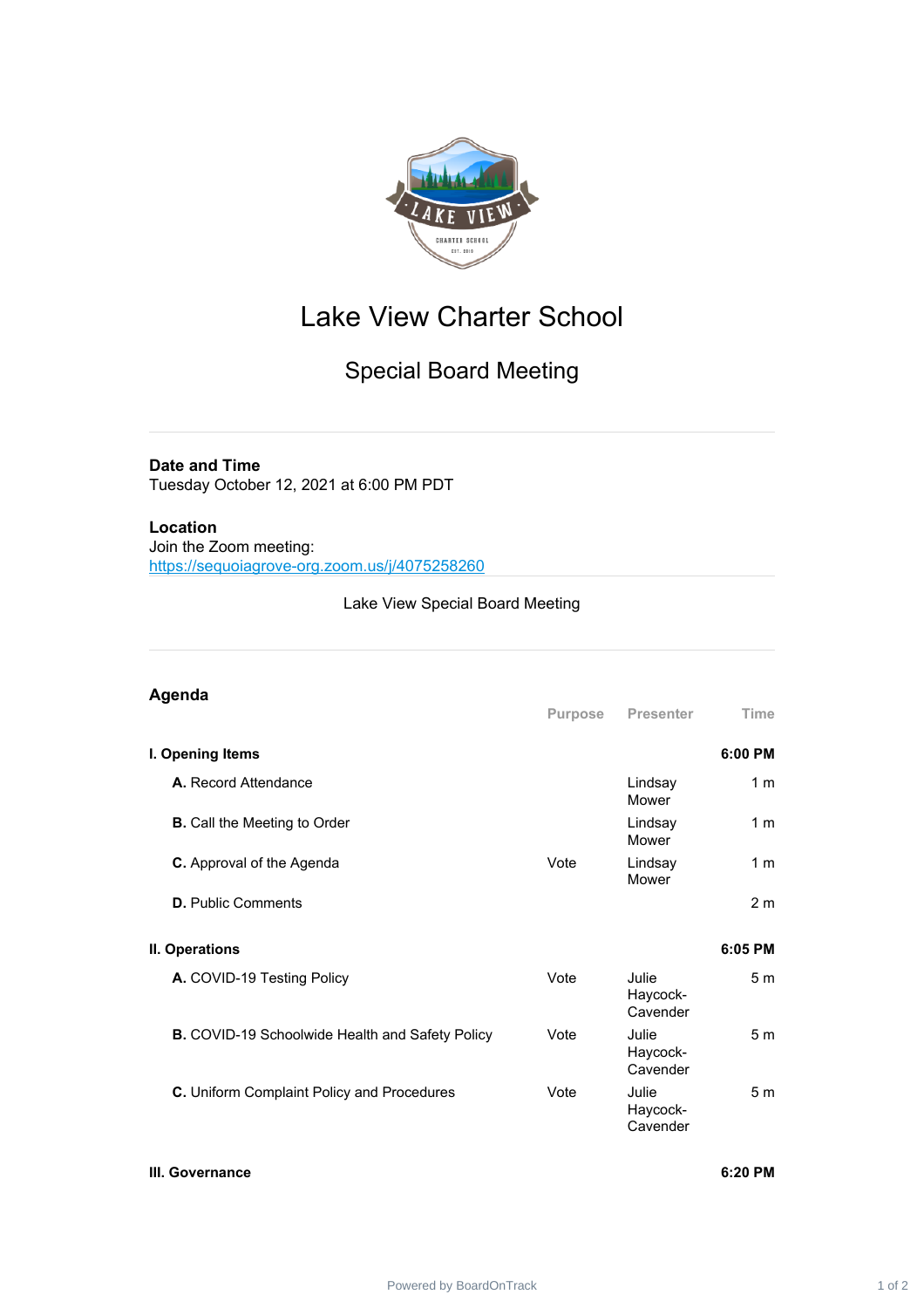

# Lake View Charter School

# Special Board Meeting

## **Date and Time**

Tuesday October 12, 2021 at 6:00 PM PDT

## **Location**

Join the Zoom meeting: <https://sequoiagrove-org.zoom.us/j/4075258260>

## Lake View Special Board Meeting

#### **Agenda Purpose Presenter Time I. Opening Items 6:00 PM A.** Record Attendance Lindsay **Mower** 1 m **B.** Call the Meeting to Order **Lindsay Mower** 1 m **C.** Approval of the Agenda Vote Lindsay Mower 1 m **D.** Public Comments 2 m **II. Operations 6:05 PM A.** COVID-19 Testing Policy **Vote** Vote Julie Haycock-Cavender 5 m **B.** COVID-19 Schoolwide Health and Safety Policy Vote Julie Haycock-Cavender 5 m **C.** Uniform Complaint Policy and Procedures Vote Vote Julie Haycock-Cavender 5 m

#### **III. Governance 6:20 PM**